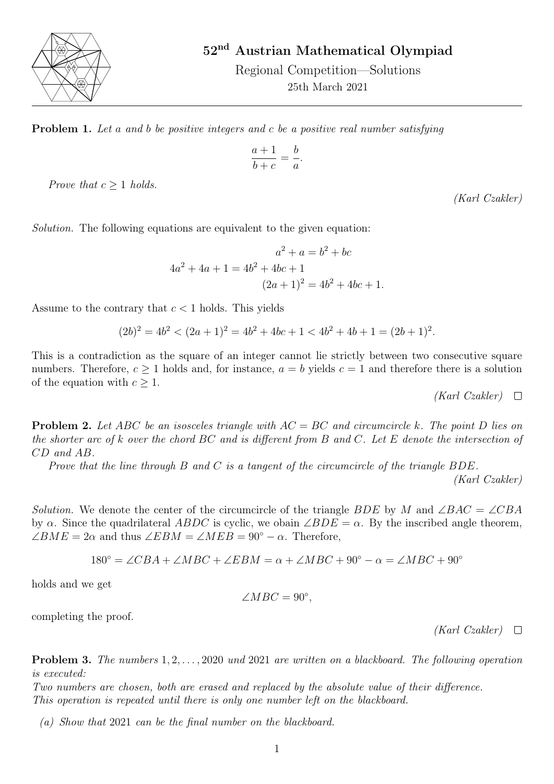

52nd Austrian Mathematical Olympiad

Regional Competition—Solutions 25th March 2021

**Problem 1.** Let a and b be positive integers and c be a positive real number satisfying

$$
\frac{a+1}{b+c} = \frac{b}{a}
$$

.

Prove that  $c > 1$  holds.

(Karl Czakler)

Solution. The following equations are equivalent to the given equation:

$$
a^{2} + a = b^{2} + bc
$$
  
4a<sup>2</sup> + 4a + 1 = 4b<sup>2</sup> + 4bc + 1  
(2a + 1)<sup>2</sup> = 4b<sup>2</sup> + 4bc + 1.

Assume to the contrary that  $c < 1$  holds. This yields

$$
(2b)^2 = 4b^2 < (2a+1)^2 = 4b^2 + 4bc + 1 < 4b^2 + 4b + 1 = (2b+1)^2.
$$

This is a contradiction as the square of an integer cannot lie strictly between two consecutive square numbers. Therefore,  $c \ge 1$  holds and, for instance,  $a = b$  yields  $c = 1$  and therefore there is a solution of the equation with  $c \geq 1$ .

$$
(Karl\ Czakler)\quad \Box
$$

**Problem 2.** Let ABC be an isosceles triangle with  $AC = BC$  and circumcircle k. The point D lies on the shorter arc of k over the chord BC and is different from B and C. Let E denote the intersection of CD and AB.

Prove that the line through B and C is a tangent of the circumcircle of the triangle  $BDE$ .

(Karl Czakler)

Solution. We denote the center of the circumcircle of the triangle BDE by M and ∠BAC = ∠CBA by  $\alpha$ . Since the quadrilateral ABDC is cyclic, we obain  $\angle BDE = \alpha$ . By the inscribed angle theorem,  $\angle BME = 2\alpha$  and thus  $\angle EBM = \angle MEB = 90^{\circ} - \alpha$ . Therefore,

$$
180^{\circ} = \angle CBA + \angle MBC + \angle EBM = \alpha + \angle MBC + 90^{\circ} - \alpha = \angle MBC + 90^{\circ}
$$

holds and we get

 $\angle MBC = 90^{\circ},$ 

completing the proof.

 $(Karl Czakler) \quad \Box$ 

**Problem 3.** The numbers  $1, 2, \ldots, 2020$  und  $2021$  are written on a blackboard. The following operation is executed:

Two numbers are chosen, both are erased and replaced by the absolute value of their difference. This operation is repeated until there is only one number left on the blackboard.

(a) Show that 2021 can be the final number on the blackboard.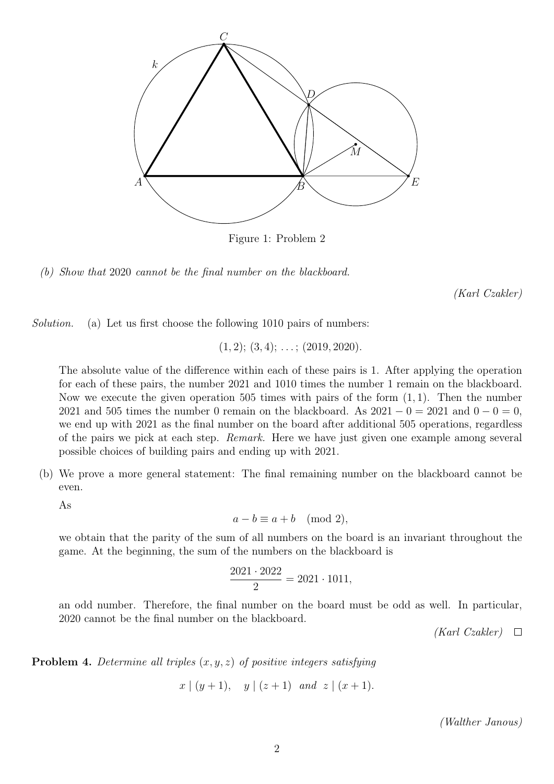

Figure 1: Problem 2

(b) Show that 2020 cannot be the final number on the blackboard.

(Karl Czakler)

Solution. (a) Let us first choose the following 1010 pairs of numbers:

 $(1, 2); (3, 4); \ldots; (2019, 2020).$ 

The absolute value of the difference within each of these pairs is 1. After applying the operation for each of these pairs, the number 2021 and 1010 times the number 1 remain on the blackboard. Now we execute the given operation 505 times with pairs of the form  $(1, 1)$ . Then the number 2021 and 505 times the number 0 remain on the blackboard. As  $2021 - 0 = 2021$  and  $0 - 0 = 0$ , we end up with 2021 as the final number on the board after additional 505 operations, regardless of the pairs we pick at each step. Remark. Here we have just given one example among several possible choices of building pairs and ending up with 2021.

(b) We prove a more general statement: The final remaining number on the blackboard cannot be even.

As

 $a - b \equiv a + b \pmod{2}$ ,

we obtain that the parity of the sum of all numbers on the board is an invariant throughout the game. At the beginning, the sum of the numbers on the blackboard is

$$
\frac{2021 \cdot 2022}{2} = 2021 \cdot 1011,
$$

an odd number. Therefore, the final number on the board must be odd as well. In particular, 2020 cannot be the final number on the blackboard.

 $(Karl Czakler) \quad \Box$ 

**Problem 4.** Determine all triples  $(x, y, z)$  of positive integers satisfying

$$
x \mid (y+1), y \mid (z+1)
$$
 and  $z \mid (x+1)$ .

(Walther Janous)